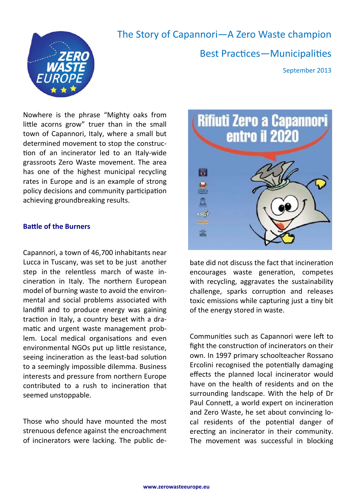

# The Story of Capannori—A Zero Waste champion

Best Practices—Municipalities

September 2013

Nowhere is the phrase "Mighty oaks from little acorns grow" truer than in the small town of Capannori, Italy, where a small but determined movement to stop the construc‐ tion of an incinerator led to an Italy-wide grassroots Zero Waste movement. The area has one of the highest municipal recycling rates in Europe and is an example of strong policy decisions and community participation achieving groundbreaking results.

## **BaƩle of the Burners**

Capannori, a town of 46,700 inhabitants near Lucca in Tuscany, was set to be just another step in the relentless march of waste in‐ cineration in Italy. The northern European model of burning waste to avoid the environ‐ mental and social problems associated with landfill and to produce energy was gaining traction in Italy, a country beset with a dramatic and urgent waste management problem. Local medical organisations and even environmental NGOs put up little resistance, seeing incineration as the least-bad solution to a seemingly impossible dilemma. Business interests and pressure from northern Europe contributed to a rush to incineration that seemed unstoppable.

Those who should have mounted the most strenuous defence against the encroachment of incinerators were lacking. The public de‐



bate did not discuss the fact that incineration encourages waste generation, competes with recycling, aggravates the sustainability challenge, sparks corruption and releases toxic emissions while capturing just a tiny bit of the energy stored in waste.

Communities such as Capannori were left to fight the construction of incinerators on their own. In 1997 primary schoolteacher Rossano Ercolini recognised the potentially damaging effects the planned local incinerator would have on the health of residents and on the surrounding landscape. With the help of Dr Paul Connett, a world expert on incineration and Zero Waste, he set about convincing lo‐ cal residents of the potential danger of erecting an incinerator in their community. The movement was successful in blocking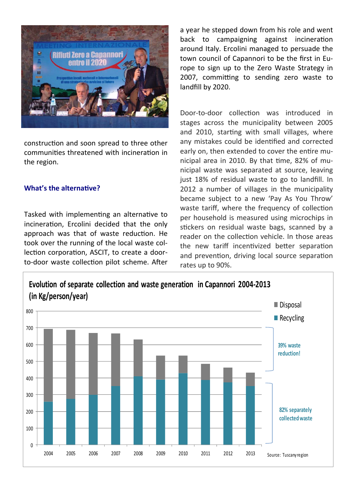

construction and soon spread to three other communities threatened with incineration in the region.

# **What's the alternative?**

Tasked with implementing an alternative to incineration, Ercolini decided that the only approach was that of waste reduction. He took over the running of the local waste col‐ lection corporation, ASCIT, to create a doorto-door waste collection pilot scheme. After

a year he stepped down from his role and went back to campaigning against incineration around Italy. Ercolini managed to persuade the town council of Capannori to be the first in Eu‐ rope to sign up to the Zero Waste Strategy in 2007, committing to sending zero waste to landfill by 2020.

Door-to-door collection was introduced in stages across the municipality between 2005 and 2010, starting with small villages, where any mistakes could be identified and corrected early on, then extended to cover the entire municipal area in 2010. By that time, 82% of municipal waste was separated at source, leaving just 18% of residual waste to go to landfill. In 2012 a number of villages in the municipality became subject to a new 'Pay As You Throw' waste tariff, where the frequency of collection per household is measured using microchips in stickers on residual waste bags, scanned by a reader on the collection vehicle. In those areas the new tariff incentivized better separation and prevention, driving local source separation rates up to 90%.

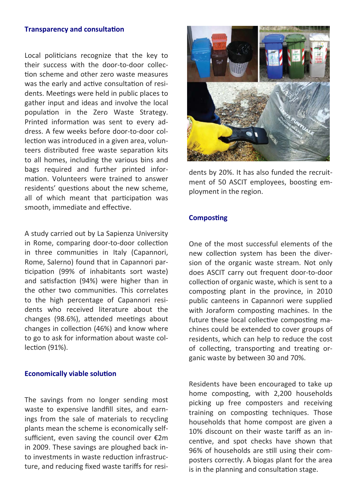## **Transparency and consultation**

Local politicians recognize that the key to their success with the door‐to‐door collec‐ tion scheme and other zero waste measures was the early and active consultation of residents. Meetings were held in public places to gather input and ideas and involve the local population in the Zero Waste Strategy. Printed information was sent to every address. A few weeks before door‐to‐door col‐ lection was introduced in a given area, volunteers distributed free waste separation kits to all homes, including the various bins and bags required and further printed infor‐ mation. Volunteers were trained to answer residents' questions about the new scheme, all of which meant that participation was smooth, immediate and effective.

A study carried out by La Sapienza University in Rome, comparing door-to-door collection in three communities in Italy (Capannori, Rome, Salerno) found that in Capannori par‐ ticipation (99% of inhabitants sort waste) and satisfaction (94%) were higher than in the other two communities. This correlates to the high percentage of Capannori resi‐ dents who received literature about the changes (98.6%), attended meetings about changes in collection (46%) and know where to go to ask for information about waste collection (91%).

#### **Economically viable solution**

The savings from no longer sending most waste to expensive landfill sites, and earnings from the sale of materials to recycling plants mean the scheme is economically self‐ sufficient, even saving the council over €2m in 2009. These savings are ploughed back in‐ to investments in waste reduction infrastructure, and reducing fixed waste tariffs for resi‐



dents by 20%. It has also funded the recruit‐ ment of 50 ASCIT employees, boosting employment in the region.

#### **Composting**

One of the most successful elements of the new collection system has been the diversion of the organic waste stream. Not only does ASCIT carry out frequent door‐to‐door collection of organic waste, which is sent to a composting plant in the province, in 2010 public canteens in Capannori were supplied with Joraform composting machines. In the future these local collective composting machines could be extended to cover groups of residents, which can help to reduce the cost of collecting, transporting and treating organic waste by between 30 and 70%.

Residents have been encouraged to take up home composting, with 2,200 households picking up free composters and receiving training on composting techniques. Those households that home compost are given a 10% discount on their waste tariff as an in‐ centive, and spot checks have shown that 96% of households are still using their composters correctly. A biogas plant for the area is in the planning and consultation stage.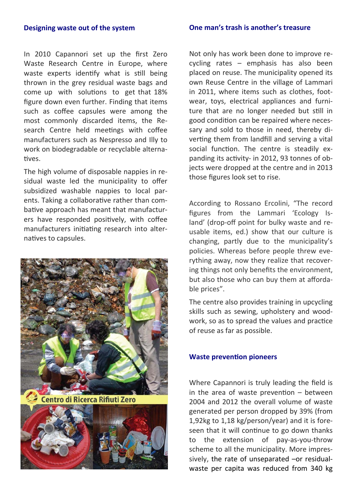#### **Designing waste out of the system**

In 2010 Capannori set up the first Zero Waste Research Centre in Europe, where waste experts identify what is still being thrown in the grey residual waste bags and come up with solutions to get that 18% figure down even further. Finding that items such as coffee capsules were among the most commonly discarded items, the Re‐ search Centre held meetings with coffee manufacturers such as Nespresso and Illy to work on biodegradable or recyclable alternatives.

The high volume of disposable nappies in re‐ sidual waste led the municipality to offer subsidized washable nappies to local par‐ ents. Taking a collaborative rather than combative approach has meant that manufacturers have responded positively, with coffee manufacturers initiating research into alternatives to capsules.



Centro di Ricerca Rifiuti Zero



Not only has work been done to improve re‐ cycling rates – emphasis has also been placed on reuse. The municipality opened its own Reuse Centre in the village of Lammari in 2011, where items such as clothes, foot‐ wear, toys, electrical appliances and furniture that are no longer needed but still in good condition can be repaired where necessary and sold to those in need, thereby diverting them from landfill and serving a vital social function. The centre is steadily expanding its activity- in 2012, 93 tonnes of objects were dropped at the centre and in 2013 those figures look set to rise.

According to Rossano Ercolini, "The record figures from the Lammari 'Ecology Is‐ land' (drop-off point for bulky waste and reusable items, ed.) show that our culture is changing, partly due to the municipality's policies. Whereas before people threw everything away, now they realize that recover‐ ing things not only benefits the environment, but also those who can buy them at afforda‐ ble prices".

The centre also provides training in upcycling skills such as sewing, upholstery and wood‐ work, so as to spread the values and practice of reuse as far as possible.

## **Waste prevention pioneers**

Where Capannori is truly leading the field is in the area of waste prevention  $-$  between 2004 and 2012 the overall volume of waste generated per person dropped by 39% (from 1,92kg to 1,18 kg/person/year) and it is fore‐ seen that it will continue to go down thanks to the extension of pay‐as‐you‐throw scheme to all the municipality. More impressively, the rate of unseparated –or residual‐ waste per capita was reduced from 340 kg

#### **One man's trash is another's treasure**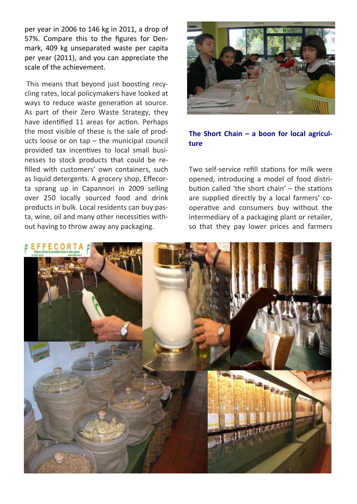per year in 2006 to 146 kg in 2011, a drop of 57%. Compare this to the figures for Den‐ mark, 409 kg unseparated waste per capita per year (2011), and you can appreciate the scale of the achievement.

This means that beyond just boosting recycling rates, local policymakers have looked at ways to reduce waste generation at source. As part of their Zero Waste Strategy, they have identified 11 areas for action. Perhaps the most visible of these is the sale of prod‐ ucts loose or on tap – the municipal council provided tax incentives to local small businesses to stock products that could be re‐ filled with customers' own containers, such as liquid detergents. A grocery shop, Effecor‐ ta sprang up in Capannori in 2009 selling over 250 locally sourced food and drink products in bulk. Local residents can buy pas‐ ta, wine, oil and many other necessities without having to throw away any packaging.



# **The Short Chain – a boon for local agricul‐ ture**

Two self-service refill stations for milk were opened, introducing a model of food distri‐ bution called 'the short chain' – the stations are supplied directly by a local farmers' co‐ operative and consumers buy without the intermediary of a packaging plant or retailer, so that they pay lower prices and farmers